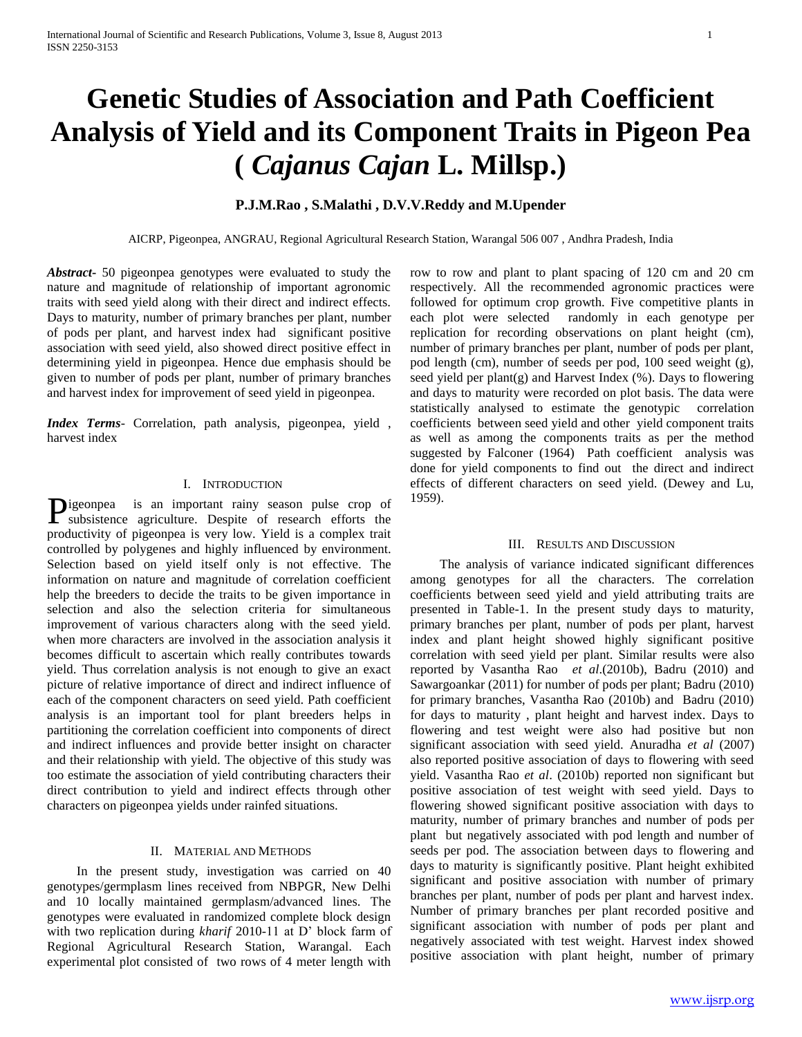# **Genetic Studies of Association and Path Coefficient Analysis of Yield and its Component Traits in Pigeon Pea (** *Cajanus Cajan* **L. Millsp.)**

### **P.J.M.Rao , S.Malathi , D.V.V.Reddy and M.Upender**

AICRP, Pigeonpea, ANGRAU, Regional Agricultural Research Station, Warangal 506 007 , Andhra Pradesh, India

*Abstract***-** 50 pigeonpea genotypes were evaluated to study the nature and magnitude of relationship of important agronomic traits with seed yield along with their direct and indirect effects. Days to maturity, number of primary branches per plant, number of pods per plant, and harvest index had significant positive association with seed yield, also showed direct positive effect in determining yield in pigeonpea. Hence due emphasis should be given to number of pods per plant, number of primary branches and harvest index for improvement of seed yield in pigeonpea.

*Index Terms*- Correlation, path analysis, pigeonpea, yield , harvest index

### I. INTRODUCTION

is an important rainy season pulse crop of subsistence agriculture. Despite of research efforts the productivity of pigeonpea is very low. Yield is a complex trait controlled by polygenes and highly influenced by environment. Selection based on yield itself only is not effective. The information on nature and magnitude of correlation coefficient help the breeders to decide the traits to be given importance in selection and also the selection criteria for simultaneous improvement of various characters along with the seed yield. when more characters are involved in the association analysis it becomes difficult to ascertain which really contributes towards yield. Thus correlation analysis is not enough to give an exact picture of relative importance of direct and indirect influence of each of the component characters on seed yield. Path coefficient analysis is an important tool for plant breeders helps in partitioning the correlation coefficient into components of direct and indirect influences and provide better insight on character and their relationship with yield. The objective of this study was too estimate the association of yield contributing characters their direct contribution to yield and indirect effects through other characters on pigeonpea yields under rainfed situations. Pigeonpea

### II. MATERIAL AND METHODS

 In the present study, investigation was carried on 40 genotypes/germplasm lines received from NBPGR, New Delhi and 10 locally maintained germplasm/advanced lines. The genotypes were evaluated in randomized complete block design with two replication during *kharif* 2010-11 at D' block farm of Regional Agricultural Research Station, Warangal. Each experimental plot consisted of two rows of 4 meter length with

row to row and plant to plant spacing of 120 cm and 20 cm respectively. All the recommended agronomic practices were followed for optimum crop growth. Five competitive plants in each plot were selected randomly in each genotype per replication for recording observations on plant height (cm), number of primary branches per plant, number of pods per plant, pod length (cm), number of seeds per pod, 100 seed weight (g), seed yield per plant(g) and Harvest Index  $(\%)$ . Days to flowering and days to maturity were recorded on plot basis. The data were statistically analysed to estimate the genotypic correlation coefficients between seed yield and other yield component traits as well as among the components traits as per the method suggested by Falconer (1964) Path coefficient analysis was done for yield components to find out the direct and indirect effects of different characters on seed yield. (Dewey and Lu, 1959).

### III. RESULTS AND DISCUSSION

 The analysis of variance indicated significant differences among genotypes for all the characters. The correlation coefficients between seed yield and yield attributing traits are presented in Table-1. In the present study days to maturity, primary branches per plant, number of pods per plant, harvest index and plant height showed highly significant positive correlation with seed yield per plant. Similar results were also reported by Vasantha Rao *et al*.(2010b), Badru (2010) and Sawargoankar (2011) for number of pods per plant; Badru (2010) for primary branches, Vasantha Rao (2010b) and Badru (2010) for days to maturity , plant height and harvest index. Days to flowering and test weight were also had positive but non significant association with seed yield. Anuradha *et al* (2007) also reported positive association of days to flowering with seed yield. Vasantha Rao *et al*. (2010b) reported non significant but positive association of test weight with seed yield. Days to flowering showed significant positive association with days to maturity, number of primary branches and number of pods per plant but negatively associated with pod length and number of seeds per pod. The association between days to flowering and days to maturity is significantly positive. Plant height exhibited significant and positive association with number of primary branches per plant, number of pods per plant and harvest index. Number of primary branches per plant recorded positive and significant association with number of pods per plant and negatively associated with test weight. Harvest index showed positive association with plant height, number of primary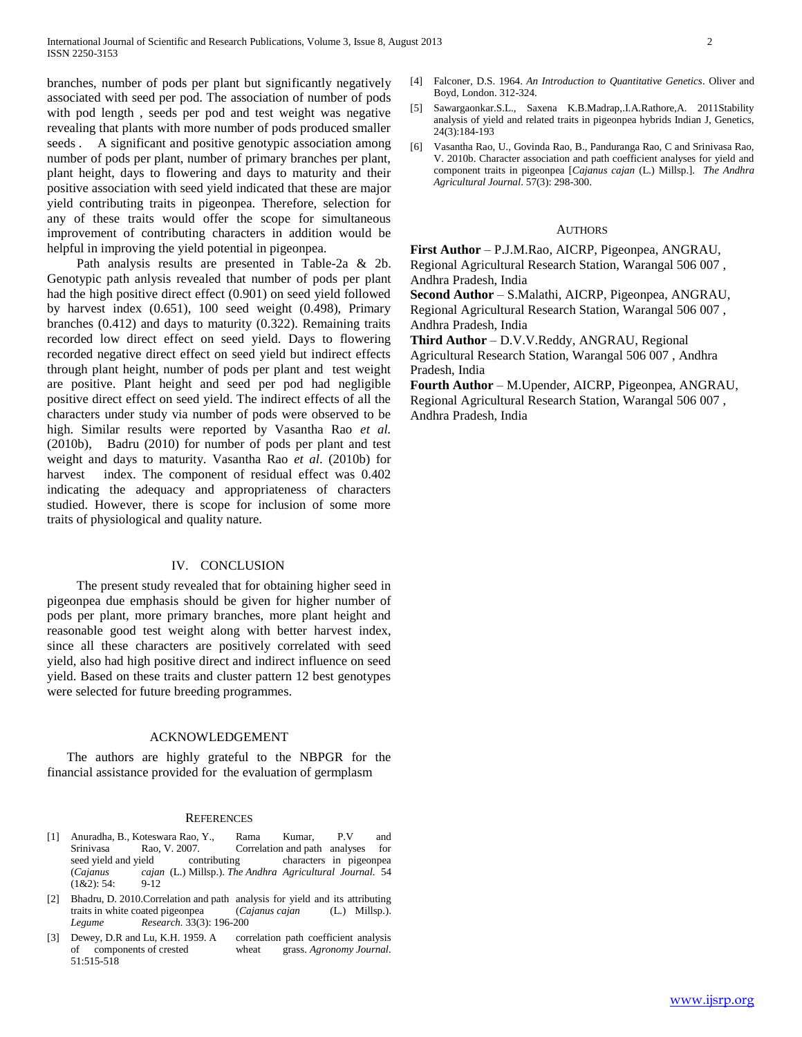branches, number of pods per plant but significantly negatively associated with seed per pod. The association of number of pods with pod length , seeds per pod and test weight was negative revealing that plants with more number of pods produced smaller seeds . A significant and positive genotypic association among number of pods per plant, number of primary branches per plant, plant height, days to flowering and days to maturity and their positive association with seed yield indicated that these are major yield contributing traits in pigeonpea. Therefore, selection for any of these traits would offer the scope for simultaneous improvement of contributing characters in addition would be helpful in improving the yield potential in pigeonpea.

 Path analysis results are presented in Table-2a & 2b. Genotypic path anlysis revealed that number of pods per plant had the high positive direct effect (0.901) on seed yield followed by harvest index (0.651), 100 seed weight (0.498), Primary branches (0.412) and days to maturity (0.322). Remaining traits recorded low direct effect on seed yield. Days to flowering recorded negative direct effect on seed yield but indirect effects through plant height, number of pods per plant and test weight are positive. Plant height and seed per pod had negligible positive direct effect on seed yield. The indirect effects of all the characters under study via number of pods were observed to be high. Similar results were reported by Vasantha Rao *et al.*  (2010b), Badru (2010) for number of pods per plant and test weight and days to maturity. Vasantha Rao *et al*. (2010b) for harvest index. The component of residual effect was  $0.402$ indicating the adequacy and appropriateness of characters studied. However, there is scope for inclusion of some more traits of physiological and quality nature.

#### IV. CONCLUSION

 The present study revealed that for obtaining higher seed in pigeonpea due emphasis should be given for higher number of pods per plant, more primary branches, more plant height and reasonable good test weight along with better harvest index, since all these characters are positively correlated with seed yield, also had high positive direct and indirect influence on seed yield. Based on these traits and cluster pattern 12 best genotypes were selected for future breeding programmes.

### ACKNOWLEDGEMENT

 The authors are highly grateful to the NBPGR for the financial assistance provided for the evaluation of germplasm

#### **REFERENCES**

- [1] Anuradha, B., Koteswara Rao, Y., Rama Kumar, P.V and Srinivasa Rao, V. 2007. Correlation and path analyses for seed yield and yield contributing characters in pigeonpea (*Cajanus cajan* (L.) Millsp.). *The Andhra Agricultural Journal.* 54  $(1&2): 54: 9-12$
- [2] Bhadru, D. 2010.Correlation and path analysis for yield and its attributing traits in white coated pigeonpea (*Cajanus cajan* (L.) Millsp.). *Legume Research.* 33(3): 196-200
- [3] Dewey, D.R and Lu, K.H. 1959. A correlation path coefficient analysis of components of crested wheat grass. *Agronomy Journal.* 51:515-518
- [4] Falconer, D.S. 1964. *An Introduction to Quantitative Genetics*. Oliver and Boyd, London. 312-324.
- [5] Sawargaonkar.S.L., Saxena K.B.Madrap,.I.A.Rathore,A. 2011Stability analysis of yield and related traits in pigeonpea hybrids Indian J, Genetics, 24(3):184-193
- [6] Vasantha Rao, U., Govinda Rao, B., Panduranga Rao, C and Srinivasa Rao, V. 2010b. Character association and path coefficient analyses for yield and component traits in pigeonpea [*Cajanus cajan* (L.) Millsp.]. *The Andhra Agricultural Journal*. 57(3): 298-300.

#### **AUTHORS**

**First Author** – P.J.M.Rao, AICRP, Pigeonpea, ANGRAU, Regional Agricultural Research Station, Warangal 506 007 , Andhra Pradesh, India

**Second Author** – S.Malathi, AICRP, Pigeonpea, ANGRAU, Regional Agricultural Research Station, Warangal 506 007 , Andhra Pradesh, India

**Third Author** – D.V.V.Reddy, ANGRAU, Regional Agricultural Research Station, Warangal 506 007 , Andhra Pradesh, India

**Fourth Author** – M.Upender, AICRP, Pigeonpea, ANGRAU, Regional Agricultural Research Station, Warangal 506 007 , Andhra Pradesh, India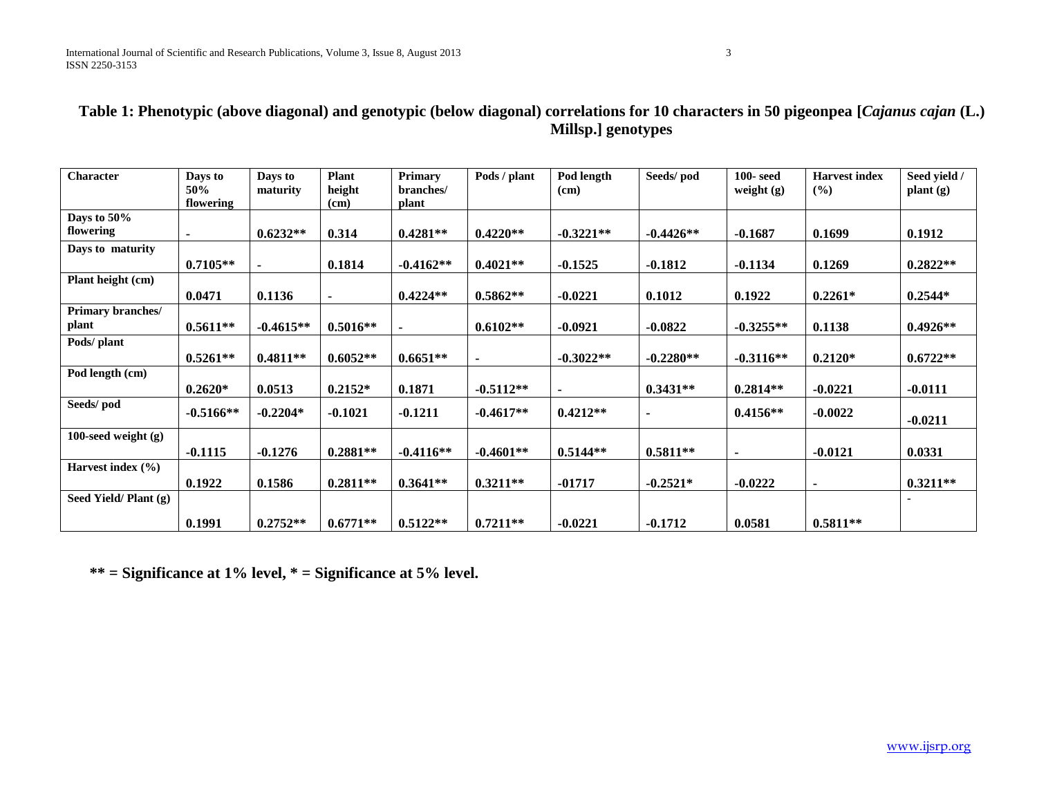### **Table 1: Phenotypic (above diagonal) and genotypic (below diagonal) correlations for 10 characters in 50 pigeonpea [***Cajanus cajan* **(L.) Millsp.] genotypes**

| <b>Character</b>         | Days to<br>50% | Days to<br>maturity | <b>Plant</b><br>height | Primary<br>branches/ | Pods / plant   | Pod length<br>(cm) | Seeds/pod   | $100 - \text{seed}$<br>weight $(g)$ | <b>Harvest index</b><br>(%) | Seed yield /<br>$\mathbf{plant}\left(\mathbf{g}\right)$ |
|--------------------------|----------------|---------------------|------------------------|----------------------|----------------|--------------------|-------------|-------------------------------------|-----------------------------|---------------------------------------------------------|
|                          | flowering      |                     | (cm)                   | plant                |                |                    |             |                                     |                             |                                                         |
| Days to 50%<br>flowering |                | $0.6232**$          | 0.314                  | $0.4281**$           | $0.4220**$     | $-0.3221**$        | $-0.4426**$ | $-0.1687$                           | 0.1699                      | 0.1912                                                  |
| Days to maturity         |                |                     |                        |                      |                |                    |             |                                     |                             |                                                         |
|                          | $0.7105**$     | $\sim$              | 0.1814                 | $-0.4162**$          | $0.4021**$     | $-0.1525$          | $-0.1812$   | $-0.1134$                           | 0.1269                      | $0.2822**$                                              |
| Plant height (cm)        |                |                     |                        |                      |                |                    |             |                                     |                             |                                                         |
|                          | 0.0471         | 0.1136              | $\blacksquare$         | $0.4224**$           | $0.5862**$     | $-0.0221$          | 0.1012      | 0.1922                              | $0.2261*$                   | $0.2544*$                                               |
| Primary branches/        |                |                     |                        |                      |                |                    |             |                                     |                             |                                                         |
| plant                    | $0.5611**$     | $-0.4615**$         | $0.5016**$             | $\blacksquare$       | $0.6102**$     | $-0.0921$          | $-0.0822$   | $-0.3255**$                         | 0.1138                      | $0.4926**$                                              |
| Pods/ plant              |                |                     |                        |                      |                |                    |             |                                     |                             |                                                         |
|                          | $0.5261**$     | $0.4811**$          | $0.6052**$             | $0.6651**$           | $\blacksquare$ | $-0.3022**$        | $-0.2280**$ | $-0.3116**$                         | $0.2120*$                   | $0.6722**$                                              |
| Pod length (cm)          |                |                     |                        |                      |                |                    |             |                                     |                             |                                                         |
|                          | $0.2620*$      | 0.0513              | $0.2152*$              | 0.1871               | $-0.5112**$    | $\blacksquare$     | $0.3431**$  | $0.2814**$                          | $-0.0221$                   | $-0.0111$                                               |
| Seeds/pod                | $-0.5166**$    | $-0.2204*$          | $-0.1021$              | $-0.1211$            | $-0.4617**$    | $0.4212**$         |             | $0.4156**$                          | $-0.0022$                   | $-0.0211$                                               |
| 100-seed weight $(g)$    |                |                     |                        |                      |                |                    |             |                                     |                             |                                                         |
|                          | $-0.1115$      | $-0.1276$           | $0.2881**$             | $-0.4116**$          | $-0.4601**$    | $0.5144**$         | $0.5811**$  | $\blacksquare$                      | $-0.0121$                   | 0.0331                                                  |
| Harvest index $(\% )$    |                |                     |                        |                      |                |                    |             |                                     |                             |                                                         |
|                          | 0.1922         | 0.1586              | $0.2811**$             | $0.3641**$           | $0.3211**$     | $-01717$           | $-0.2521*$  | $-0.0222$                           | $\blacksquare$              | $0.3211**$                                              |
| Seed Yield/Plant (g)     |                |                     |                        |                      |                |                    |             |                                     |                             |                                                         |
|                          | 0.1991         | $0.2752**$          | $0.6771**$             | $0.5122**$           | $0.7211**$     | $-0.0221$          | $-0.1712$   | 0.0581                              | $0.5811**$                  |                                                         |

 **\*\* = Significance at 1% level, \* = Significance at 5% level.**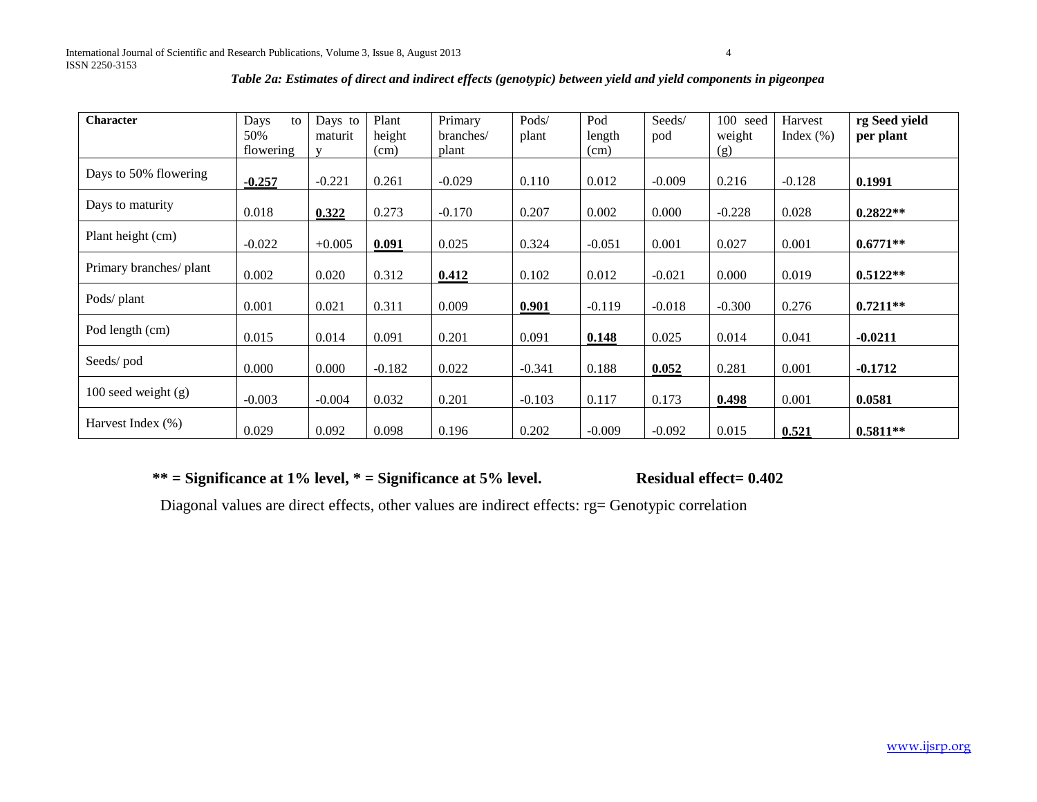| <b>Character</b>        | Days<br>to<br>50%<br>flowering | Days to<br>maturit<br>$\mathbf{V}$ | Plant<br>height<br>(cm) | Primary<br>branches/<br>plant | Pods/<br>plant | Pod<br>length<br>(cm) | Seeds/<br>pod | 100<br>seed<br>weight<br>(g) | Harvest<br>Index $(\% )$ | rg Seed yield<br>per plant |
|-------------------------|--------------------------------|------------------------------------|-------------------------|-------------------------------|----------------|-----------------------|---------------|------------------------------|--------------------------|----------------------------|
| Days to 50% flowering   | $-0.257$                       | $-0.221$                           | 0.261                   | $-0.029$                      | 0.110          | 0.012                 | $-0.009$      | 0.216                        | $-0.128$                 | 0.1991                     |
| Days to maturity        | 0.018                          | 0.322                              | 0.273                   | $-0.170$                      | 0.207          | 0.002                 | 0.000         | $-0.228$                     | 0.028                    | $0.2822**$                 |
| Plant height (cm)       | $-0.022$                       | $+0.005$                           | 0.091                   | 0.025                         | 0.324          | $-0.051$              | 0.001         | 0.027                        | 0.001                    | $0.6771**$                 |
| Primary branches/ plant | 0.002                          | 0.020                              | 0.312                   | 0.412                         | 0.102          | 0.012                 | $-0.021$      | 0.000                        | 0.019                    | $0.5122**$                 |
| Pods/ plant             | 0.001                          | 0.021                              | 0.311                   | 0.009                         | 0.901          | $-0.119$              | $-0.018$      | $-0.300$                     | 0.276                    | $0.7211**$                 |
| Pod length (cm)         | 0.015                          | 0.014                              | 0.091                   | 0.201                         | 0.091          | 0.148                 | 0.025         | 0.014                        | 0.041                    | $-0.0211$                  |
| Seeds/pod               | 0.000                          | 0.000                              | $-0.182$                | 0.022                         | $-0.341$       | 0.188                 | 0.052         | 0.281                        | 0.001                    | $-0.1712$                  |
| $100$ seed weight $(g)$ | $-0.003$                       | $-0.004$                           | 0.032                   | 0.201                         | $-0.103$       | 0.117                 | 0.173         | 0.498                        | 0.001                    | 0.0581                     |
| Harvest Index (%)       | 0.029                          | 0.092                              | 0.098                   | 0.196                         | 0.202          | $-0.009$              | $-0.092$      | 0.015                        | 0.521                    | $0.5811**$                 |

### *Table 2a: Estimates of direct and indirect effects (genotypic) between yield and yield components in pigeonpea*

## **\*\* = Significance at 1% level, \* = Significance at 5% level. Residual effect= 0.402**

Diagonal values are direct effects, other values are indirect effects: rg= Genotypic correlation